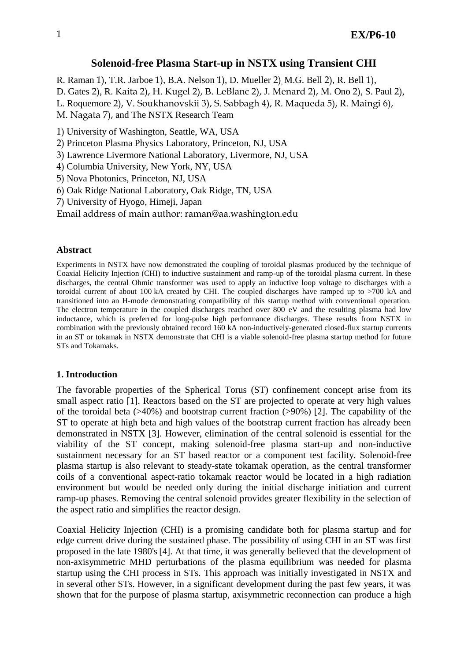# **Solenoid-free Plasma Start-up in NSTX using Transient CHI**

R. Raman 1), T.R. Jarboe 1), B.A. Nelson 1), D. Mueller 2), M.G. Bell 2), R. Bell 1), D. Gates 2), R. Kaita 2), H. Kugel 2), B. LeBlanc 2), J. Menard 2), M. Ono 2), S. Paul 2), L. Roquemore 2), V. Soukhanovskii 3), S. Sabbagh 4), R. Maqueda 5), R. Maingi 6), M. Nagata 7), and The NSTX Research Team

1) University of Washington, Seattle, WA, USA

2) Princeton Plasma Physics Laboratory, Princeton, NJ, USA

3) Lawrence Livermore National Laboratory, Livermore, NJ, USA

4) Columbia University, New York, NY, USA

5) Nova Photonics, Princeton, NJ, USA

6) Oak Ridge National Laboratory, Oak Ridge, TN, USA

7) University of Hyogo, Himeji, Japan

Email address of main author: [raman@aa.washington.edu](mailto:raman@aa.washington.edu)

## **Abstract**

Experiments in NSTX have now demonstrated the coupling of toroidal plasmas produced by the technique of Coaxial Helicity Injection (CHI) to inductive sustainment and ramp-up of the toroidal plasma current. In these discharges, the central Ohmic transformer was used to apply an inductive loop voltage to discharges with a toroidal current of about 100 kA created by CHI. The coupled discharges have ramped up to >700 kA and transitioned into an H-mode demonstrating compatibility of this startup method with conventional operation. The electron temperature in the coupled discharges reached over 800 eV and the resulting plasma had low inductance, which is preferred for long-pulse high performance discharges. These results from NSTX in combination with the previously obtained record 160 kA non-inductively-generated closed-flux startup currents in an ST or tokamak in NSTX demonstrate that CHI is a viable solenoid-free plasma startup method for future STs and Tokamaks.

## **1. Introduction**

The favorable properties of the Spherical Torus (ST) confinement concept arise from its small aspect ratio [1]. Reactors based on the ST are projected to operate at very high values of the toroidal beta  $(>40\%)$  and bootstrap current fraction  $(>90\%)$  [2]. The capability of the ST to operate at high beta and high values of the bootstrap current fraction has already been demonstrated in NSTX [3]. However, elimination of the central solenoid is essential for the viability of the ST concept, making solenoid-free plasma start-up and non-inductive sustainment necessary for an ST based reactor or a component test facility. Solenoid-free plasma startup is also relevant to steady-state tokamak operation, as the central transformer coils of a conventional aspect-ratio tokamak reactor would be located in a high radiation environment but would be needed only during the initial discharge initiation and current ramp-up phases. Removing the central solenoid provides greater flexibility in the selection of the aspect ratio and simplifies the reactor design.

Coaxial Helicity Injection (CHI) is a promising candidate both for plasma startup and for edge current drive during the sustained phase. The possibility of using CHI in an ST was first proposed in the late 1980's[4]. At that time, it was generally believed that the development of non-axisymmetric MHD perturbations of the plasma equilibrium was needed for plasma startup using the CHI process in STs. This approach was initially investigated in NSTX and in several other STs. However, in a significant development during the past few years, it was shown that for the purpose of plasma startup, axisymmetric reconnection can produce a high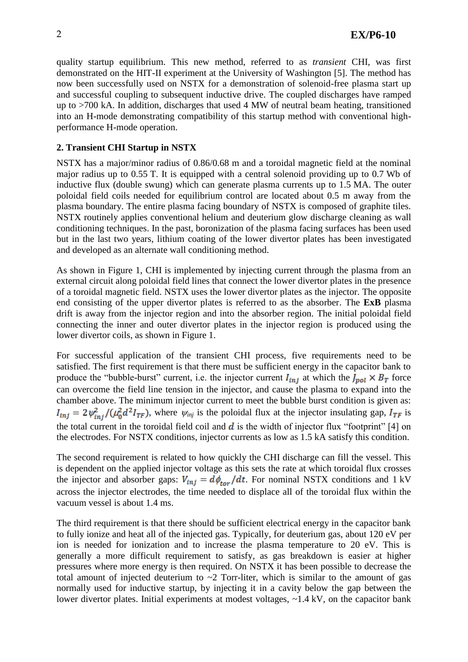quality startup equilibrium. This new method, referred to as *transient* CHI, was first demonstrated on the HIT-II experiment at the University of Washington [5]. The method has now been successfully used on NSTX for a demonstration of solenoid-free plasma start up and successful coupling to subsequent inductive drive. The coupled discharges have ramped up to >700 kA. In addition, discharges that used 4 MW of neutral beam heating, transitioned into an H-mode demonstrating compatibility of this startup method with conventional highperformance H-mode operation.

# **2. Transient CHI Startup in NSTX**

NSTX has a major/minor radius of 0.86/0.68 m and a toroidal magnetic field at the nominal major radius up to 0.55 T. It is equipped with a central solenoid providing up to 0.7 Wb of inductive flux (double swung) which can generate plasma currents up to 1.5 MA. The outer poloidal field coils needed for equilibrium control are located about 0.5 m away from the plasma boundary. The entire plasma facing boundary of NSTX is composed of graphite tiles. NSTX routinely applies conventional helium and deuterium glow discharge cleaning as wall conditioning techniques. In the past, boronization of the plasma facing surfaces has been used but in the last two years, lithium coating of the lower divertor plates has been investigated and developed as an alternate wall conditioning method.

As shown in Figure 1, CHI is implemented by injecting current through the plasma from an external circuit along poloidal field lines that connect the lower divertor plates in the presence of a toroidal magnetic field. NSTX uses the lower divertor plates as the injector. The opposite end consisting of the upper divertor plates is referred to as the absorber. The **ExB** plasma drift is away from the injector region and into the absorber region. The initial poloidal field connecting the inner and outer divertor plates in the injector region is produced using the lower divertor coils, as shown in Figure 1.

For successful application of the transient CHI process, five requirements need to be satisfied. The first requirement is that there must be sufficient energy in the capacitor bank to produce the "bubble-burst" current, i.e. the injector current  $I_{ini}$  at which the  $J_{pol} \times B_T$  force can overcome the field line tension in the injector, and cause the plasma to expand into the chamber above. The minimum injector current to meet the bubble burst condition is given as:  $I_{inj} = 2 \psi_{inj}^2 / (\mu_0^2 d^2 I_{TF})$ , where  $\psi_{inj}$  is the poloidal flux at the injector insulating gap,  $I_{TF}$  is the total current in the toroidal field coil and  $\vec{d}$  is the width of injector flux "footprint" [4] on the electrodes. For NSTX conditions, injector currents as low as 1.5 kA satisfy this condition.

The second requirement is related to how quickly the CHI discharge can fill the vessel. This is dependent on the applied injector voltage as this sets the rate at which toroidal flux crosses the injector and absorber gaps:  $V_{inj} = d\phi_{tor}/dt$ . For nominal NSTX conditions and 1 kV across the injector electrodes, the time needed to displace all of the toroidal flux within the vacuum vessel is about 1.4 ms.

The third requirement is that there should be sufficient electrical energy in the capacitor bank to fully ionize and heat all of the injected gas. Typically, for deuterium gas, about 120 eV per ion is needed for ionization and to increase the plasma temperature to 20 eV. This is generally a more difficult requirement to satisfy, as gas breakdown is easier at higher pressures where more energy is then required. On NSTX it has been possible to decrease the total amount of injected deuterium to  $\sim$ 2 Torr-liter, which is similar to the amount of gas normally used for inductive startup, by injecting it in a cavity below the gap between the lower divertor plates. Initial experiments at modest voltages, ~1.4 kV, on the capacitor bank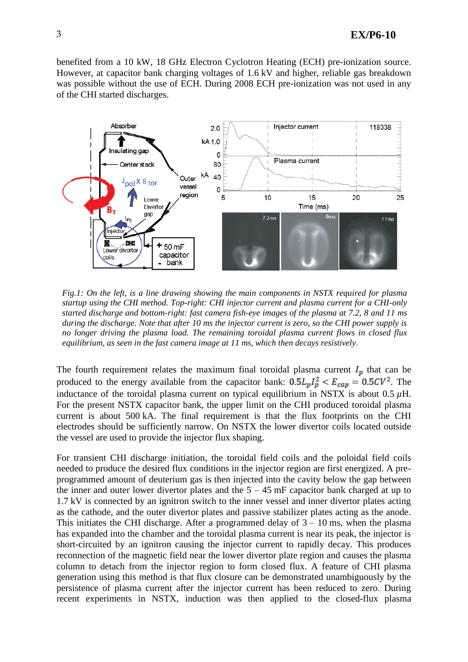benefited from a 10 kW, 18 GHz Electron Cyclotron Heating (ECH) pre-ionization source. However, at capacitor bank charging voltages of 1.6 kV and higher, reliable gas breakdown was possible without the use of ECH. During 2008 ECH pre-ionization was not used in any of the CHI started discharges.



*Fig.1: On the left, is a line drawing showing the main components in NSTX required for plasma startup using the CHI method. Top-right: CHI injector current and plasma current for a CHI-only started discharge and bottom-right: fast camera fish-eye images of the plasma at 7.2, 8 and 11 ms during the discharge. Note that after 10 ms the injector current is zero, so the CHI power supply is no longer driving the plasma load. The remaining toroidal plasma current flows in closed flux equilibrium, as seen in the fast camera image at 11 ms, which then decays resistively.*

The fourth requirement relates the maximum final toroidal plasma current  $I_p$  that can be produced to the energy available from the capacitor bank:  $0.5L_pI_p^2 < E_{cap} = 0.5CV^2$ . The inductance of the toroidal plasma current on typical equilibrium in NSTX is about  $0.5 \mu$ H. For the present NSTX capacitor bank, the upper limit on the CHI produced toroidal plasma current is about 500 kA. The final requirement is that the flux footprints on the CHI electrodes should be sufficiently narrow. On NSTX the lower divertor coils located outside the vessel are used to provide the injector flux shaping.

For transient CHI discharge initiation, the toroidal field coils and the poloidal field coils needed to produce the desired flux conditions in the injector region are first energized. A preprogrammed amount of deuterium gas is then injected into the cavity below the gap between the inner and outer lower divertor plates and the  $5 - 45$  mF capacitor bank charged at up to 1.7 kV is connected by an ignitron switch to the inner vessel and inner divertor plates acting as the cathode, and the outer divertor plates and passive stabilizer plates acting as the anode. This initiates the CHI discharge. After a programmed delay of  $3 - 10$  ms, when the plasma has expanded into the chamber and the toroidal plasma current is near its peak, the injector is short-circuited by an ignitron causing the injector current to rapidly decay. This produces reconnection of the magnetic field near the lower divertor plate region and causes the plasma column to detach from the injector region to form closed flux. A feature of CHI plasma generation using this method is that flux closure can be demonstrated unambiguously by the persistence of plasma current after the injector current has been reduced to zero. During recent experiments in NSTX, induction was then applied to the closed-flux plasma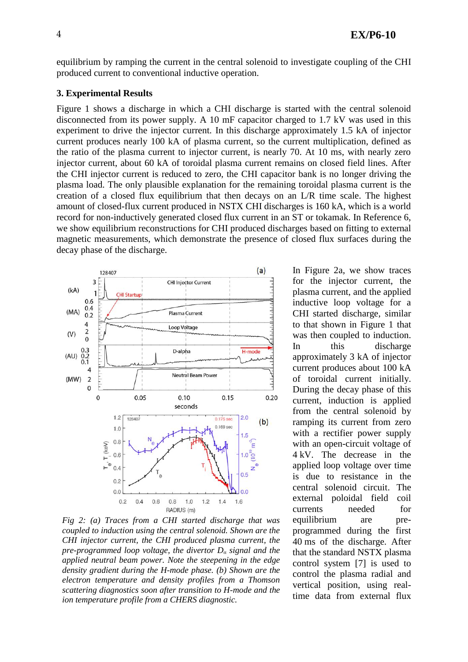equilibrium by ramping the current in the central solenoid to investigate coupling of the CHI produced current to conventional inductive operation.

#### **3. Experimental Results**

Figure 1 shows a discharge in which a CHI discharge is started with the central solenoid disconnected from its power supply. A 10 mF capacitor charged to 1.7 kV was used in this experiment to drive the injector current. In this discharge approximately 1.5 kA of injector current produces nearly 100 kA of plasma current, so the current multiplication, defined as the ratio of the plasma current to injector current, is nearly 70. At 10 ms, with nearly zero injector current, about 60 kA of toroidal plasma current remains on closed field lines. After the CHI injector current is reduced to zero, the CHI capacitor bank is no longer driving the plasma load. The only plausible explanation for the remaining toroidal plasma current is the creation of a closed flux equilibrium that then decays on an L/R time scale. The highest amount of closed-flux current produced in NSTX CHI discharges is 160 kA, which is a world record for non-inductively generated closed flux current in an ST or tokamak. In Reference 6, we show equilibrium reconstructions for CHI produced discharges based on fitting to external magnetic measurements, which demonstrate the presence of closed flux surfaces during the decay phase of the discharge.



*Fig 2: (a) Traces from a CHI started discharge that was coupled to induction using the central solenoid. Shown are the CHI injector current, the CHI produced plasma current, the pre-programmed loop voltage, the divertor D<sup>α</sup> signal and the applied neutral beam power. Note the steepening in the edge density gradient during the H-mode phase. (b) Shown are the electron temperature and density profiles from a Thomson scattering diagnostics soon after transition to H-mode and the ion temperature profile from a CHERS diagnostic.*

In Figure 2a, we show traces for the injector current, the plasma current, and the applied inductive loop voltage for a CHI started discharge, similar to that shown in Figure 1 that was then coupled to induction. In this discharge approximately 3 kA of injector current produces about 100 kA of toroidal current initially. During the decay phase of this current, induction is applied from the central solenoid by ramping its current from zero with a rectifier power supply with an open-circuit voltage of 4 kV. The decrease in the applied loop voltage over time is due to resistance in the central solenoid circuit. The external poloidal field coil currents needed for equilibrium are preprogrammed during the first 40 ms of the discharge. After that the standard NSTX plasma control system [7] is used to control the plasma radial and vertical position, using realtime data from external flux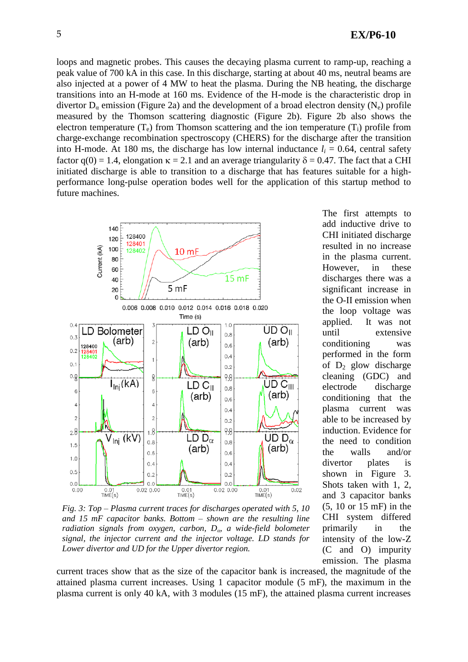loops and magnetic probes. This causes the decaying plasma current to ramp-up, reaching a peak value of 700 kA in this case. In this discharge, starting at about 40 ms, neutral beams are also injected at a power of 4 MW to heat the plasma. During the NB heating, the discharge transitions into an H-mode at 160 ms. Evidence of the H-mode is the characteristic drop in divertor  $D_{\alpha}$  emission (Figure 2a) and the development of a broad electron density (N<sub>e</sub>) profile measured by the Thomson scattering diagnostic (Figure 2b). Figure 2b also shows the electron temperature  $(T_e)$  from Thomson scattering and the ion temperature  $(T_i)$  profile from charge-exchange recombination spectroscopy (CHERS) for the discharge after the transition into H-mode. At 180 ms, the discharge has low internal inductance  $l_i = 0.64$ , central safety factor  $q(0) = 1.4$ , elongation  $\kappa = 2.1$  and an average triangularity  $\delta = 0.47$ . The fact that a CHI initiated discharge is able to transition to a discharge that has features suitable for a highperformance long-pulse operation bodes well for the application of this startup method to future machines.



*Fig. 3: Top – Plasma current traces for discharges operated with 5, 10 and 15 mF capacitor banks. Bottom – shown are the resulting line radiation signals from oxygen, carbon, Dα, a wide-field bolometer signal, the injector current and the injector voltage. LD stands for Lower divertor and UD for the Upper divertor region.*

The first attempts to add inductive drive to CHI initiated discharge resulted in no increase in the plasma current. However, in these discharges there was a significant increase in the O-II emission when the loop voltage was applied. It was not until extensive conditioning was performed in the form of  $D_2$  glow discharge cleaning (GDC) and electrode discharge conditioning that the plasma current was able to be increased by induction. Evidence for the need to condition the walls and/or divertor plates is shown in Figure 3. Shots taken with 1, 2, and 3 capacitor banks (5, 10 or 15 mF) in the CHI system differed primarily in the intensity of the low-Z (C and O) impurity emission. The plasma

current traces show that as the size of the capacitor bank is increased, the magnitude of the attained plasma current increases. Using 1 capacitor module (5 mF), the maximum in the plasma current is only 40 kA, with 3 modules (15 mF), the attained plasma current increases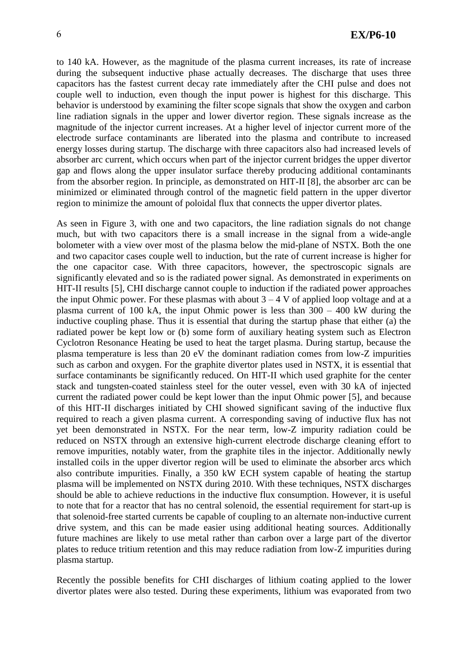to 140 kA. However, as the magnitude of the plasma current increases, its rate of increase during the subsequent inductive phase actually decreases. The discharge that uses three capacitors has the fastest current decay rate immediately after the CHI pulse and does not couple well to induction, even though the input power is highest for this discharge. This behavior is understood by examining the filter scope signals that show the oxygen and carbon line radiation signals in the upper and lower divertor region. These signals increase as the magnitude of the injector current increases. At a higher level of injector current more of the electrode surface contaminants are liberated into the plasma and contribute to increased energy losses during startup. The discharge with three capacitors also had increased levels of absorber arc current, which occurs when part of the injector current bridges the upper divertor gap and flows along the upper insulator surface thereby producing additional contaminants from the absorber region. In principle, as demonstrated on HIT-II [8], the absorber arc can be minimized or eliminated through control of the magnetic field pattern in the upper divertor region to minimize the amount of poloidal flux that connects the upper divertor plates.

As seen in Figure 3, with one and two capacitors, the line radiation signals do not change much, but with two capacitors there is a small increase in the signal from a wide-angle bolometer with a view over most of the plasma below the mid-plane of NSTX. Both the one and two capacitor cases couple well to induction, but the rate of current increase is higher for the one capacitor case. With three capacitors, however, the spectroscopic signals are significantly elevated and so is the radiated power signal. As demonstrated in experiments on HIT-II results [5], CHI discharge cannot couple to induction if the radiated power approaches the input Ohmic power. For these plasmas with about  $3 - 4$  V of applied loop voltage and at a plasma current of 100 kA, the input Ohmic power is less than 300 – 400 kW during the inductive coupling phase. Thus it is essential that during the startup phase that either (a) the radiated power be kept low or (b) some form of auxiliary heating system such as Electron Cyclotron Resonance Heating be used to heat the target plasma. During startup, because the plasma temperature is less than 20 eV the dominant radiation comes from low-Z impurities such as carbon and oxygen. For the graphite divertor plates used in NSTX, it is essential that surface contaminants be significantly reduced. On HIT-II which used graphite for the center stack and tungsten-coated stainless steel for the outer vessel, even with 30 kA of injected current the radiated power could be kept lower than the input Ohmic power [5], and because of this HIT-II discharges initiated by CHI showed significant saving of the inductive flux required to reach a given plasma current. A corresponding saving of inductive flux has not yet been demonstrated in NSTX. For the near term, low-Z impurity radiation could be reduced on NSTX through an extensive high-current electrode discharge cleaning effort to remove impurities, notably water, from the graphite tiles in the injector. Additionally newly installed coils in the upper divertor region will be used to eliminate the absorber arcs which also contribute impurities. Finally, a 350 kW ECH system capable of heating the startup plasma will be implemented on NSTX during 2010. With these techniques, NSTX discharges should be able to achieve reductions in the inductive flux consumption. However, it is useful to note that for a reactor that has no central solenoid, the essential requirement for start-up is that solenoid-free started currents be capable of coupling to an alternate non-inductive current drive system, and this can be made easier using additional heating sources. Additionally future machines are likely to use metal rather than carbon over a large part of the divertor plates to reduce tritium retention and this may reduce radiation from low-Z impurities during plasma startup.

Recently the possible benefits for CHI discharges of lithium coating applied to the lower divertor plates were also tested. During these experiments, lithium was evaporated from two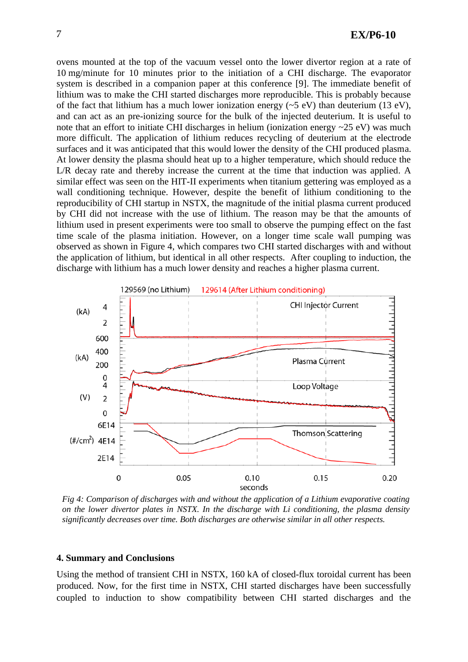ovens mounted at the top of the vacuum vessel onto the lower divertor region at a rate of 10 mg/minute for 10 minutes prior to the initiation of a CHI discharge. The evaporator system is described in a companion paper at this conference [9]. The immediate benefit of lithium was to make the CHI started discharges more reproducible. This is probably because of the fact that lithium has a much lower ionization energy  $(\sim 5 \text{ eV})$  than deuterium (13 eV), and can act as an pre-ionizing source for the bulk of the injected deuterium. It is useful to note that an effort to initiate CHI discharges in helium (ionization energy ~25 eV) was much more difficult. The application of lithium reduces recycling of deuterium at the electrode surfaces and it was anticipated that this would lower the density of the CHI produced plasma. At lower density the plasma should heat up to a higher temperature, which should reduce the L/R decay rate and thereby increase the current at the time that induction was applied. A similar effect was seen on the HIT-II experiments when titanium gettering was employed as a wall conditioning technique. However, despite the benefit of lithium conditioning to the reproducibility of CHI startup in NSTX, the magnitude of the initial plasma current produced by CHI did not increase with the use of lithium. The reason may be that the amounts of lithium used in present experiments were too small to observe the pumping effect on the fast time scale of the plasma initiation. However, on a longer time scale wall pumping was observed as shown in Figure 4, which compares two CHI started discharges with and without the application of lithium, but identical in all other respects. After coupling to induction, the discharge with lithium has a much lower density and reaches a higher plasma current.



*Fig 4: Comparison of discharges with and without the application of a Lithium evaporative coating on the lower divertor plates in NSTX. In the discharge with Li conditioning, the plasma density significantly decreases over time. Both discharges are otherwise similar in all other respects.*

### **4. Summary and Conclusions**

Using the method of transient CHI in NSTX, 160 kA of closed-flux toroidal current has been produced. Now, for the first time in NSTX, CHI started discharges have been successfully coupled to induction to show compatibility between CHI started discharges and the